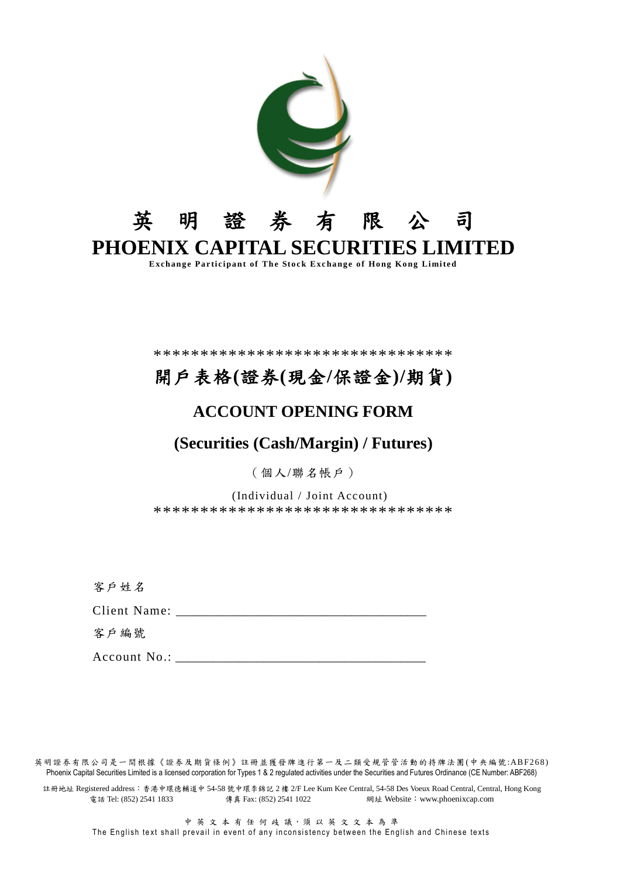

\*\*\*\*\*\*\*\*\*\*\*\*\*\*\*\*\*\*\*\*\*\*\*\*\*\*\*\*\*\*\*\*

# 開戶表格(證券(現金/保證金)/期貨)

# **ACCOUNT OPENING FORM**

# (Securities (Cash/Margin) / Futures)

(個人/聯名帳戶)

(Individual / Joint Account) \*\*\*\*\*\*\*\*\*\*\*\*\*\*\*\*\*\*\*\*\*\*\*\*\*\*\*\*\*\*\*

客户姓名

Client Name:

客戶編號

Account No.:

英明證券有限公司是一間根據《證券及期貨條例》註冊並獲發牌進行第一及二類受規管管活動的持牌法團(中央編號:ABF268) Phoenix Capital Securities Limited is a licensed corporation for Types 1 & 2 regulated activities under the Securities and Futures Ordinance (CE Number: ABF268)

註冊地址 Registered address: 香港中環德輔道中 54-58 號中環李錦記 2樓 2/F Lee Kum Kee Central, 54-58 Des Voeux Road Central, Central, Hong Kong 電話 Tel: (852) 2541 1833 傳真 Fax: (852) 2541 1022 網址 Website: www.phoenixcap.com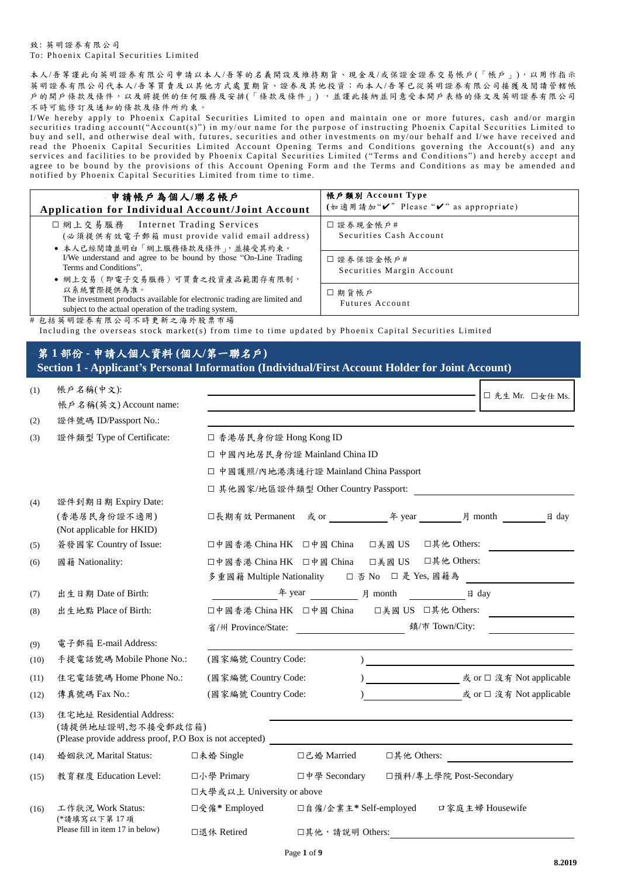### 致: 英明證券有限公司 To: Phoenix Capital Securities Limited

 $AE \leq H \cdot (A \cdot A)$ 

 $\lambda$ 

本人/吾等謹此向英明證券有限公司申請以本人/吾等的名義開設及維持期貨、現金及/或保證金證券交易帳戶(「帳戶」),以用作指示 英明證券有限公司代本人/吾等買賣及以其他方式處置期貨、證券及其他投資;而本人/吾等已從英明證券有限公司接獲及閱讀管轄帳 户的開戶條款及條件,以及將提供的任何服務及安排(「條款及條件」),並謹此接納並同意受本開戶表格的條文及英明證券有限公司 不時可能修訂及通知的條款及條件所約束。

I/We hereby apply to Phoenix Capital Securities Limited to open and maintain one or more futures, cash and/or margin securities trading account("Account(s)") in my/our name for the purpose of instructing Phoenix Capital Securities Limited to buy and sell, and otherwise deal with, futures, securities and other investments on my/our behalf and I/we have received and read the Phoenix Capital Securities Limited Account Opening Terms and Conditions governing the Account(s) and any<br>services and facilities to be provided by Phoenix Capital Securities Limited ("Terms and Conditions") and he agree to be bound by the provisions of this Account Opening Form and the Terms and Conditions as may be amended and notified by Phoenix Capital Securities Limited from time to time.

| 申請帳戶為個人/聯名帳戶<br>Application for Individual Account/Joint Account                                                                                                                                                                                                           | 帳戶類別 Account Type<br>(如適用請加"√" Please "√" as appropriate) |
|----------------------------------------------------------------------------------------------------------------------------------------------------------------------------------------------------------------------------------------------------------------------------|-----------------------------------------------------------|
| □ 網上交易服務 Internet Trading Services<br>(必須提供有效電子郵箱 must provide valid email address)<br>● 本人已經閱讀並明白「網上服務條款及條件」,並接受其約束。                                                                                                                                                      | □證券現金帳戶#<br>Securities Cash Account                       |
| I/We understand and agree to be bound by those "On-Line Trading"<br>Terms and Conditions".<br>● 網上交易 (即電子交易服務) 可買賣之投資產品範圍存有限制,                                                                                                                                             | □證券保證金帳戶#<br>Securities Margin Account                    |
| 以系統實際提供為准。<br>The investment products available for electronic trading are limited and<br>subject to the actual operation of the trading system.<br>$\mu$ . A is at off as $\Psi$ . A special contract of $\pi$ as $\pi$ is a set of $\pi$ . The special contract of $\pi$ | □期貨帳戶<br><b>Futures Account</b>                           |

# 包括英明證券有限公司不時更新之海外股票市場

# Including the overseas stock market(s) from time to time updated by Phoenix Capital Securities Limited

# 第1部份 - 申請人個人資料(個人/第一聯名戶) Section 1 - Applicant's Personal Information (Individual/First Account Holder for Joint Account)

| (I)  | TK 厂 石 們( T 乂 ).                                                                                           | □ 先生 Mr. □女仕 Ms.                                                                                                                                                 |
|------|------------------------------------------------------------------------------------------------------------|------------------------------------------------------------------------------------------------------------------------------------------------------------------|
|      | 帳戶名稱(英文) Account name:                                                                                     |                                                                                                                                                                  |
| (2)  | 證件號碼 ID/Passport No.:                                                                                      |                                                                                                                                                                  |
| (3)  | 證件類型 Type of Certificate:                                                                                  | □ 香港居民身份證 Hong Kong ID                                                                                                                                           |
|      |                                                                                                            | □ 中國內地居民身份證 Mainland China ID                                                                                                                                    |
|      |                                                                                                            | □ 中國護照/內地港澳通行證 Mainland China Passport                                                                                                                           |
|      |                                                                                                            | □ 其他國家/地區證件類型 Other Country Passport:                                                                                                                            |
| (4)  | 證件到期日期 Expiry Date:                                                                                        |                                                                                                                                                                  |
|      | (香港居民身份證不適用)<br>(Not applicable for HKID)                                                                  |                                                                                                                                                                  |
| (5)  | 簽發國家 Country of Issue:                                                                                     | □中國香港 China HK □中國 China □美國 US □其他 Others:                                                                                                                      |
| (6)  | 國籍 Nationality:                                                                                            | □中國香港 China HK □中國 China □美國 US □其他 Others:<br>多重國籍 Multiple Nationality □ 否 No □ 是 Yes, 國籍為                                                                     |
| (7)  | 出生日期 Date of Birth:                                                                                        | 年 year 月 month 日 day                                                                                                                                             |
| (8)  | 出生地點 Place of Birth:                                                                                       | □美國 US □其他 Others:<br>□中國香港 China HK □中國 China                                                                                                                   |
|      |                                                                                                            | 省/州 Province/State:<br>$\mathfrak{q}/\bar{\pi} \text{ Town/City:}$                                                                                               |
| (9)  | 電子郵箱 E-mail Address:                                                                                       |                                                                                                                                                                  |
| (10) | 手提電話號碼 Mobile Phone No.:                                                                                   | (國家編號 Country Code:                                                                                                                                              |
| (11) | 住宅電話號碼 Home Phone No.:                                                                                     | (國家編號 Country Code:                                                                                                                                              |
| (12) | 傳真號碼 Fax No.:                                                                                              | 或 or □ 沒有 Not applicable<br>(國家編號 Country Code:                                                                                                                  |
| (13) | 住宅地址 Residential Address:<br>(請提供地址證明,恕不接受郵政信箱)<br>(Please provide address proof, P.O Box is not accepted) |                                                                                                                                                                  |
| (14) | 婚姻狀況 Marital Status:                                                                                       | □其他 Others:<br>□未婚 Single<br>□己婚 Married<br><u> 1989 - Jan Stein Stein Stein Stein Stein Stein Stein Stein Stein Stein Stein Stein Stein Stein Stein Stein S</u> |
| (15) | 教育程度 Education Level:                                                                                      | □中學 Secondary<br>□預科/專上學院 Post-Secondary<br>口小學 Primary                                                                                                          |
|      |                                                                                                            | □大學或以上 University or above                                                                                                                                       |
| (16) | 工作狀況 Work Status:<br>(*請填寫以下第17項                                                                           | □受僱* Employed<br>□自僱/企業主* Self-employed □家庭主婦 Housewife                                                                                                          |
|      | Please fill in item 17 in below)                                                                           | □退休 Retired<br>□其他,請說明 Others:                                                                                                                                   |
|      |                                                                                                            |                                                                                                                                                                  |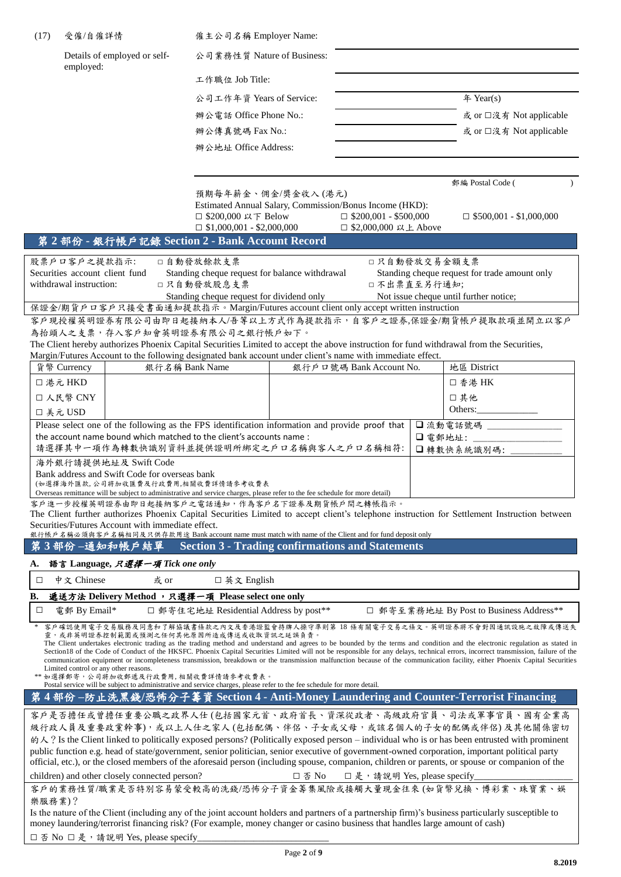| (17)   | 受僱/自僱詳情                                                                                                                                                                                                                                                                                                    | 僱主公司名稱 Employer Name:                                                                                                                     |        |                                                        |         |                                                                                                                                                                                                                                                                                                                                                                                                                                                                                                                                                                                                                                |
|--------|------------------------------------------------------------------------------------------------------------------------------------------------------------------------------------------------------------------------------------------------------------------------------------------------------------|-------------------------------------------------------------------------------------------------------------------------------------------|--------|--------------------------------------------------------|---------|--------------------------------------------------------------------------------------------------------------------------------------------------------------------------------------------------------------------------------------------------------------------------------------------------------------------------------------------------------------------------------------------------------------------------------------------------------------------------------------------------------------------------------------------------------------------------------------------------------------------------------|
|        | Details of employed or self-<br>employed:                                                                                                                                                                                                                                                                  | 公司業務性質 Nature of Business:                                                                                                                |        |                                                        |         |                                                                                                                                                                                                                                                                                                                                                                                                                                                                                                                                                                                                                                |
|        |                                                                                                                                                                                                                                                                                                            | 工作職位 Job Title:                                                                                                                           |        |                                                        |         |                                                                                                                                                                                                                                                                                                                                                                                                                                                                                                                                                                                                                                |
|        |                                                                                                                                                                                                                                                                                                            | 公司工作年資 Years of Service:                                                                                                                  |        |                                                        |         | # Year(s)                                                                                                                                                                                                                                                                                                                                                                                                                                                                                                                                                                                                                      |
|        |                                                                                                                                                                                                                                                                                                            | 辦公電話 Office Phone No.:                                                                                                                    |        |                                                        |         | 或 or □沒有 Not applicable                                                                                                                                                                                                                                                                                                                                                                                                                                                                                                                                                                                                        |
|        |                                                                                                                                                                                                                                                                                                            | 辦公傳真號碼 Fax No.:                                                                                                                           |        |                                                        |         | 或 or □沒有 Not applicable                                                                                                                                                                                                                                                                                                                                                                                                                                                                                                                                                                                                        |
|        |                                                                                                                                                                                                                                                                                                            | 辦公地址 Office Address:                                                                                                                      |        |                                                        |         |                                                                                                                                                                                                                                                                                                                                                                                                                                                                                                                                                                                                                                |
|        |                                                                                                                                                                                                                                                                                                            |                                                                                                                                           |        |                                                        |         |                                                                                                                                                                                                                                                                                                                                                                                                                                                                                                                                                                                                                                |
|        |                                                                                                                                                                                                                                                                                                            |                                                                                                                                           |        |                                                        |         | 郵編 Postal Code (                                                                                                                                                                                                                                                                                                                                                                                                                                                                                                                                                                                                               |
|        | 第2部份 - 銀行帳戶記錄 Section 2 - Bank Account Record                                                                                                                                                                                                                                                              | 預期每年薪金、佣金/獎金收入(港元)<br>Estimated Annual Salary, Commission/Bonus Income (HKD):<br>□ \$200,000 以下 Below<br>$\Box$ \$1,000,001 - \$2,000,000 |        | $\Box$ \$200,001 - \$500,000<br>□ \$2,000,000 以上 Above |         | $\Box$ \$500,001 - \$1,000,000                                                                                                                                                                                                                                                                                                                                                                                                                                                                                                                                                                                                 |
|        | 股票戶口客戶之提款指示:                                                                                                                                                                                                                                                                                               | □自動發放餘款支票                                                                                                                                 |        | □只自動發放交易金額支票                                           |         |                                                                                                                                                                                                                                                                                                                                                                                                                                                                                                                                                                                                                                |
|        | Securities account client fund                                                                                                                                                                                                                                                                             | Standing cheque request for balance withdrawal                                                                                            |        |                                                        |         | Standing cheque request for trade amount only                                                                                                                                                                                                                                                                                                                                                                                                                                                                                                                                                                                  |
|        | withdrawal instruction:                                                                                                                                                                                                                                                                                    | □只自動發放股息支票<br>Standing cheque request for dividend only                                                                                   |        | 口不出票直至另行通知;                                            |         | Not issue cheque until further notice;                                                                                                                                                                                                                                                                                                                                                                                                                                                                                                                                                                                         |
|        | 保證金/期貨戶口客戶只接受書面通知提款指示。Margin/Futures account client only accept written instruction                                                                                                                                                                                                                        |                                                                                                                                           |        |                                                        |         |                                                                                                                                                                                                                                                                                                                                                                                                                                                                                                                                                                                                                                |
|        | 客戶現授權英明證券有限公司由即日起接納本人/吾等以上方式作為提款指示,自客戶之證券,保證金/期貨帳戶提取款項並開立以客戶                                                                                                                                                                                                                                               |                                                                                                                                           |        |                                                        |         |                                                                                                                                                                                                                                                                                                                                                                                                                                                                                                                                                                                                                                |
|        | 為抬頭人之支票,存入客戶知會英明證券有限公司之銀行帳戶如下。<br>The Client hereby authorizes Phoenix Capital Securities Limited to accept the above instruction for fund withdrawal from the Securities,                                                                                                                                 |                                                                                                                                           |        |                                                        |         |                                                                                                                                                                                                                                                                                                                                                                                                                                                                                                                                                                                                                                |
|        | Margin/Futures Account to the following designated bank account under client's name with immediate effect.<br>貨幣 Currency                                                                                                                                                                                  | 銀行名稱 Bank Name                                                                                                                            |        | 銀行戶口號碼 Bank Account No.                                |         | 地區 District                                                                                                                                                                                                                                                                                                                                                                                                                                                                                                                                                                                                                    |
|        | □ 港元 HKD                                                                                                                                                                                                                                                                                                   |                                                                                                                                           |        |                                                        |         | □ 香港 HK                                                                                                                                                                                                                                                                                                                                                                                                                                                                                                                                                                                                                        |
|        | □ 人民幣 CNY                                                                                                                                                                                                                                                                                                  |                                                                                                                                           |        |                                                        |         | □其他                                                                                                                                                                                                                                                                                                                                                                                                                                                                                                                                                                                                                            |
|        | □ 美元 USD                                                                                                                                                                                                                                                                                                   |                                                                                                                                           |        |                                                        |         | Others:                                                                                                                                                                                                                                                                                                                                                                                                                                                                                                                                                                                                                        |
|        | Please select one of the following as the FPS identification information and provide proof that<br>the account name bound which matched to the client's accounts name :                                                                                                                                    |                                                                                                                                           |        |                                                        |         | □ 流動電話號碼                                                                                                                                                                                                                                                                                                                                                                                                                                                                                                                                                                                                                       |
|        | 請選擇其中一項作為轉數快識別資料並提供證明所綁定之戶口名稱與客人之戶口名稱相符:                                                                                                                                                                                                                                                                   |                                                                                                                                           |        |                                                        | □ 電郵地址: | □轉數快系統識別碼:                                                                                                                                                                                                                                                                                                                                                                                                                                                                                                                                                                                                                     |
|        | 海外銀行請提供地址及 Swift Code                                                                                                                                                                                                                                                                                      |                                                                                                                                           |        |                                                        |         |                                                                                                                                                                                                                                                                                                                                                                                                                                                                                                                                                                                                                                |
|        | Bank address and Swift Code for overseas bank<br>(如選擇海外匯款,公司將加收匯費及行政費用,相關收費詳情請參考收費表                                                                                                                                                                                                                        |                                                                                                                                           |        |                                                        |         |                                                                                                                                                                                                                                                                                                                                                                                                                                                                                                                                                                                                                                |
|        | Overseas remittance will be subject to administrative and service charges, please refer to the fee schedule for more detail)<br>客戶進一步授權英明證券由即日起接納客戶之電話通知,作為客戶名下證券及期貨帳戶間之轉帳指示。                                                                                                                              |                                                                                                                                           |        |                                                        |         |                                                                                                                                                                                                                                                                                                                                                                                                                                                                                                                                                                                                                                |
|        | The Client further authorizes Phoenix Capital Securities Limited to accept client's telephone instruction for Settlement Instruction between<br>Securities/Futures Account with immediate effect.<br>銀行帳戶名稱必須與客戶名稱相同及只供存款用途 Bank account name must match with name of the Client and for fund deposit only |                                                                                                                                           |        |                                                        |         |                                                                                                                                                                                                                                                                                                                                                                                                                                                                                                                                                                                                                                |
|        | 第3部份-通知和帳戶結單                                                                                                                                                                                                                                                                                               | <b>Section 3 - Trading confirmations and Statements</b>                                                                                   |        |                                                        |         |                                                                                                                                                                                                                                                                                                                                                                                                                                                                                                                                                                                                                                |
| А.     | 語言 Language, 只選擇一項 Tick one only                                                                                                                                                                                                                                                                           |                                                                                                                                           |        |                                                        |         |                                                                                                                                                                                                                                                                                                                                                                                                                                                                                                                                                                                                                                |
| □      | 中文 Chinese<br>或 or                                                                                                                                                                                                                                                                                         | □ 英文 English                                                                                                                              |        |                                                        |         |                                                                                                                                                                                                                                                                                                                                                                                                                                                                                                                                                                                                                                |
| В.     | 遞送方法 Delivery Method, 只選擇一項 Please select one only                                                                                                                                                                                                                                                         |                                                                                                                                           |        |                                                        |         |                                                                                                                                                                                                                                                                                                                                                                                                                                                                                                                                                                                                                                |
| □      | 電郵 By Email*                                                                                                                                                                                                                                                                                               | □ 郵寄住宅地址 Residential Address by post **                                                                                                   |        |                                                        |         | □ 郵寄至業務地址 By Post to Business Address **                                                                                                                                                                                                                                                                                                                                                                                                                                                                                                                                                                                       |
|        | 靈,或非英明證券控制範圍或預測之任何其他原因所造成傳送或收取資訊之延誤負責。<br>Limited control or any other reasons.<br>** 如選擇郵寄, 公司將加收郵遞及行政費用, 相關收費詳情請參考收費表。                                                                                                                                                                                   |                                                                                                                                           |        |                                                        |         | 客戶確認使用電子交易服務及同意和了解協議書條款之內文及香港證監會持牌人操守準則第18條有關電子交易之條文。英明證券將不會對因通訊設施之故障或傳送失<br>The Client undertakes electronic trading as the trading method and understand and agrees to be bounded by the terms and condition and the electronic regulation as stated in<br>Section 18 of the Code of Conduct of the HKSFC. Phoenix Capital Securities Limited will not be responsible for any delays, technical errors, incorrect transmission, failure of the<br>communication equipment or incompleteness transmission, breakdown or the transmission malfunction because of the communication facility, either Phoenix Capital Securities |
|        | Postal service will be subject to administrative and service charges, please refer to the fee schedule for more detail.<br>第4部份-防止洗黑錢/恐怖分子籌資 Section 4 - Anti-Money Laundering and Counter-Terrorist Financing                                                                                             |                                                                                                                                           |        |                                                        |         |                                                                                                                                                                                                                                                                                                                                                                                                                                                                                                                                                                                                                                |
|        |                                                                                                                                                                                                                                                                                                            |                                                                                                                                           |        |                                                        |         |                                                                                                                                                                                                                                                                                                                                                                                                                                                                                                                                                                                                                                |
|        | 客戶是否擔任或曾擔任重要公職之政界人仕(包括國家元首、政府首長、資深從政者、高級政府官員、司法或軍事官員、國有企業高<br>級行政人員及重要政黨幹事),或以上人仕之家人(包括配偶、伴侶、子女或父母,或該名個人的子女的配偶或伴侶)及其他關係密切<br>的人? Is the Client linked to politically exposed persons? (Politically exposed person – individual who is or has been entrusted with prominent                                 |                                                                                                                                           |        |                                                        |         |                                                                                                                                                                                                                                                                                                                                                                                                                                                                                                                                                                                                                                |
|        | public function e.g. head of state/government, senior politician, senior executive of government-owned corporation, important political party                                                                                                                                                              |                                                                                                                                           |        |                                                        |         |                                                                                                                                                                                                                                                                                                                                                                                                                                                                                                                                                                                                                                |
|        | official, etc.), or the closed members of the aforesaid person (including spouse, companion, children or parents, or spouse or companion of the                                                                                                                                                            |                                                                                                                                           |        |                                                        |         |                                                                                                                                                                                                                                                                                                                                                                                                                                                                                                                                                                                                                                |
|        | children) and other closely connected person?<br>客戶的業務性質/職業是否特別容易蒙受較高的洗錢/恐怖分子資金籌集風險或接觸大量現金往來(如貨幣兌換、博彩業、珠寶業、娛                                                                                                                                                                                               |                                                                                                                                           | 口 否 No | □是, 請說明 Yes, please specify_                           |         |                                                                                                                                                                                                                                                                                                                                                                                                                                                                                                                                                                                                                                |
| 樂服務業)? |                                                                                                                                                                                                                                                                                                            |                                                                                                                                           |        |                                                        |         |                                                                                                                                                                                                                                                                                                                                                                                                                                                                                                                                                                                                                                |
|        | Is the nature of the Client (including any of the joint account holders and partners of a partnership firm)'s business particularly susceptible to<br>money laundering/terrorist financing risk? (For example, money changer or casino business that handles large amount of cash)                         |                                                                                                                                           |        |                                                        |         |                                                                                                                                                                                                                                                                                                                                                                                                                                                                                                                                                                                                                                |
|        | □ 否 No □ 是, 請說明 Yes, please specify                                                                                                                                                                                                                                                                        |                                                                                                                                           |        |                                                        |         |                                                                                                                                                                                                                                                                                                                                                                                                                                                                                                                                                                                                                                |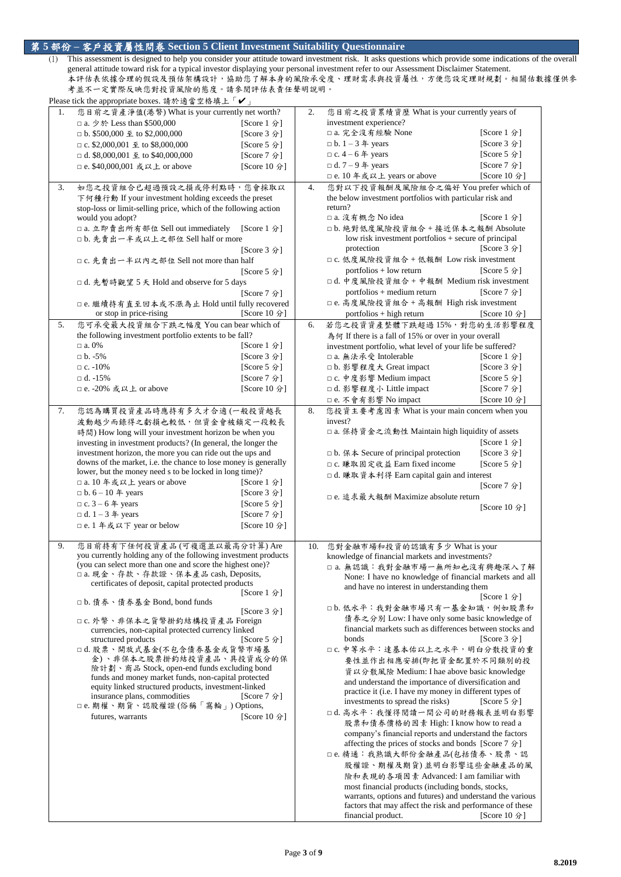## 第 **5** 部份 **–** 客戶投資屬性問卷 **Section 5 Client Investment Suitability Questionnaire**

(1) This assessment is designed to help you consider your attitude toward investment risk. It asks questions which provide some indications of the overall general attitude toward risk for a typical investor displaying your personal investment refer to our Assessment Disclaimer Statement. 本評估表依據合理的假設及預估架構設計,協助您了解本身的風險承受度、理財需求與投資屬性,方便您設定理財規劃。相關估數據僅供參 考並不一定實際反映您對投資風險的態度。請參閱評估表責任聲明說明。 Please tick the appropriate boxes. 請於適當空格填上「✔」

|    | Please tick the appropriate boxes. 請於週冨空格埧上 ' $\blacktriangledown$ $_{\perp}$ |               |     |                                                                    |              |
|----|-------------------------------------------------------------------------------|---------------|-----|--------------------------------------------------------------------|--------------|
| 1. | 您目前之資產淨值(港幣) What is your currently net worth?                                |               | 2.  | 您目前之投資累績資歷 What is your currently years of                         |              |
|    | □ a. 少於 Less than \$500,000                                                   | [Score 1 分]   |     | investment experience?                                             |              |
|    | $\Box$ b. \$500,000 $\leq$ to \$2,000,000                                     | [Score 3 分]   |     | □ a. 完全沒有經驗 None                                                   | [Score 1 分]  |
|    |                                                                               |               |     | $\Box$ b. 1 – 3 $\#$ years                                         | [Score 3 分]  |
|    | □ c. \$2,000,001 至 to \$8,000,000                                             | [Score 5 分]   |     |                                                                    |              |
|    | $\Box$ d. \$8,000,001 $\leq$ to \$40,000,000                                  | [Score 7 分]   |     | $\Box$ c. 4 – 6 $\#$ years                                         | [Score 5 分]  |
|    | □ e. \$40,000,001 或以上 or above                                                | [Score 10 分]  |     | $\Box$ d. 7 – 9 $\#$ years                                         | [Score 7 分]  |
|    |                                                                               |               |     | □ e. 10 年或以上 years or above                                        | [Score 10 分] |
| 3. | 如您之投資組合已超過預設之損或停利點時,您會採取以                                                     |               | 4.  | 您對以下投資報酬及風險組合之偏好 You prefer which of                               |              |
|    | 下何種行動 If your investment holding exceeds the preset                           |               |     | the below investment portfolios with particular risk and           |              |
|    | stop-loss or limit-selling price, which of the following action               |               |     | return?                                                            |              |
|    |                                                                               |               |     | □ a. 沒有概念 No idea                                                  | [Score 1 分]  |
|    | would you adopt?                                                              |               |     |                                                                    |              |
|    | □ a. 立即賣出所有部位 Sell out immediately                                            | [Score $1$ 分] |     | □b. 絶對低度風險投資組合+接近保本之報酬 Absolute                                    |              |
|    | □b. 先賣出一半或以上之部位 Sell half or more                                             |               |     | low risk investment portfolios + secure of principal               |              |
|    |                                                                               | [Score 3 分]   |     | protection                                                         | [Score 3 分]  |
|    | □ c. 先賣出一半以內之部位 Sell not more than half                                       |               |     | □ c. 低度風險投資組合 + 低報酬 Low risk investment                            |              |
|    |                                                                               | [Score 5 分]   |     | $portfolios + low return$                                          | [Score 5 分]  |
|    |                                                                               |               |     |                                                                    |              |
|    | □ d. 先暫時觀望 5 天 Hold and observe for 5 days                                    |               |     | □ d. 中度風險投資組合 + 中報酬 Medium risk investment                         |              |
|    |                                                                               | [Score 7 分]   |     | portfolios + medium return                                         | [Score 7 分]  |
|    | □ e. 繼續持有直至回本或不漲為止 Hold until fully recovered                                 |               |     | □ e. 高度風險投資組合 + 高報酬 High risk investment                           |              |
|    | or stop in price-rising                                                       | [Score 10 分]  |     | $portfolios + high return$                                         | [Score 10 分] |
| 5. | 您可承受最大投資組合下跌之幅度 You can bear which of                                         |               | 6.  | 若您之投資資產整體下跌超過15%,對您的生活影響程度                                         |              |
|    |                                                                               |               |     |                                                                    |              |
|    | the following investment portfolio extents to be fall?                        |               |     | 為何 If there is a fall of 15% or over in your overall               |              |
|    | $\Box$ a. 0%                                                                  | [Score 1 分]   |     | investment portfolio, what level of your life be suffered?         |              |
|    | $\neg b. -5\%$                                                                | [Score 3 分]   |     | □ a. 無法承受 Intolerable                                              | [Score 1 分]  |
|    | $\Box$ c. -10%                                                                | [Score 5 分]   |     | □ b. 影響程度大 Great impact                                            | [Score 3 分]  |
|    | $\Box$ d. -15%                                                                | [Score 7 分]   |     | □ c. 中度影響 Medium impact                                            | [Score 5 分]  |
|    | □ e. -20% 或以上 or above                                                        | [Score 10 分]  |     | □ d. 影響程度小 Little impact                                           | [Score 7 分]  |
|    |                                                                               |               |     |                                                                    |              |
|    |                                                                               |               |     | □ e. 不會有影響 No impact                                               | [Score 10 分] |
| 7. | 您認為購買投資產品時應持有多久才合適(一般投資越長                                                     |               | 8.  | 您投資主要考慮因素 What is your main concern when you                       |              |
|    | 波動越少而錄得之虧損也較低,但資金會被鎖定一段較長                                                     |               |     | invest?                                                            |              |
|    | 時間) How long will your investment horizon be when you                         |               |     | □ a. 保持資金之流動性 Maintain high liquidity of assets                    |              |
|    |                                                                               |               |     |                                                                    | [Score 1 分]  |
|    | investing in investment products? (In general, the longer the                 |               |     |                                                                    |              |
|    | investment horizon, the more you can ride out the ups and                     |               |     | $\Box$ b. $\&$ $\&$ Secure of principal protection                 | [Score 3 分]  |
|    | downs of the market, i.e. the chance to lose money is generally               |               |     | □ c. 賺取固定收益 Earn fixed income                                      | [Score 5 分]  |
|    | lower, but the money need s to be locked in long time)?                       |               |     | □ d. 賺取資本利得 Earn capital gain and interest                         |              |
|    | □ a. 10 年或以上 years or above                                                   | [Score 1 分]   |     |                                                                    | [Score 7 分]  |
|    | $\Box$ b. 6 – 10 $\#$ years                                                   | [Score 3 分]   |     | □ e. 追求最大報酬 Maximize absolute return                               |              |
|    | $\Box$ c. 3 – 6 $\#$ years                                                    | [Score 5 分]   |     |                                                                    |              |
|    | $\Box$ d. 1 – 3 $\#$ years                                                    | [Score 7 分]   |     |                                                                    | [Score 10 分] |
|    |                                                                               |               |     |                                                                    |              |
|    | □ e. 1 年或以下 year or below                                                     | [Score 10 分]  |     |                                                                    |              |
|    |                                                                               |               |     |                                                                    |              |
| 9. | 您目前持有下任何投資產品(可複選並以最高分計算) Are                                                  |               | 10. | 您對金融市場和投資的認識有多少 What is your                                       |              |
|    | you currently holding any of the following investment products                |               |     | knowledge of financial markets and investments?                    |              |
|    | (you can select more than one and score the highest one)?                     |               |     | □ a. 無認識: 我對金融市場一無所知也沒有興趣深入了解                                      |              |
|    | □ a. 現金、存款、存款證、保本產品 cash, Deposits,                                           |               |     | None: I have no knowledge of financial markets and all             |              |
|    | certificates of deposit, capital protected products                           |               |     | and have no interest in understanding them                         |              |
|    |                                                                               | [Score 1 分]   |     |                                                                    | [Score 1 分]  |
|    | □b. 債券、債券基金 Bond, bond funds                                                  |               |     |                                                                    |              |
|    |                                                                               | [Score 3 分]   |     | □b. 低水平: 我對金融市場只有一基金知識, 例如股票和                                      |              |
|    | □ c. 外幣、非保本之貨幣掛釣結構投資產品 Foreign                                                |               |     | 債券之分別 Low: I have only some basic knowledge of                     |              |
|    | currencies, non-capital protected currency linked                             |               |     | financial markets such as differences between stocks and           |              |
|    | structured products                                                           | [Score 5 分]   |     | bonds                                                              | [Score 3 分]  |
|    | □d. 股票、開放式基金(不包含債券基金或貨幣市場基                                                    |               |     | □ c. 中等水平: 達基本佑以上之水平, 明白分散投資的重                                     |              |
|    | 金)、非保本之股票掛釣結投資產品、具投資成分的保                                                      |               |     |                                                                    |              |
|    |                                                                               |               |     | 要性並作出相應安排(即把資金配置於不同類別的投                                            |              |
|    | 險計劃、商品 Stock, open-end funds excluding bond                                   |               |     | 資以分散風險 Medium: I hae above basic knowledge                         |              |
|    | funds and money market funds, non-capital protected                           |               |     | and understand the importance of diversification and               |              |
|    | equity linked structured products, investment-linked                          |               |     | practice it (i.e. I have my money in different types of            |              |
|    | insurance plans, commodities                                                  | [Score 7 分]   |     | investments to spread the risks)                                   | [Score 5 分]  |
|    | □e. 期權、期貨、認股權證(俗稱「窩輪」)Options,                                                |               |     | □d. 高水平: 我懂得閱讀一間公司的財務報表並明白影響                                       |              |
|    | futures, warrants                                                             | [Score 10 分]  |     |                                                                    |              |
|    |                                                                               |               |     | 股票和債券價格的因素 High: I know how to read a                              |              |
|    |                                                                               |               |     | company's financial reports and understand the factors             |              |
|    |                                                                               |               |     | affecting the prices of stocks and bonds [Score 7 $\hat{\gamma}$ ] |              |
|    |                                                                               |               |     | □e. 精通: 我熟識大部份金融產品(包括債券、股票、認                                       |              |
|    |                                                                               |               |     | 股權證、期權及期貨)並明白影響這些金融產品的風                                            |              |
|    |                                                                               |               |     |                                                                    |              |
|    |                                                                               |               |     | 險和表現的各項因素 Advanced: I am familiar with                             |              |
|    |                                                                               |               |     | most financial products (including bonds, stocks,                  |              |
|    |                                                                               |               |     | warrants, options and futures) and understand the various          |              |
|    |                                                                               |               |     | factors that may affect the risk and performance of these          |              |
|    |                                                                               |               |     | financial product.                                                 | [Score 10 分] |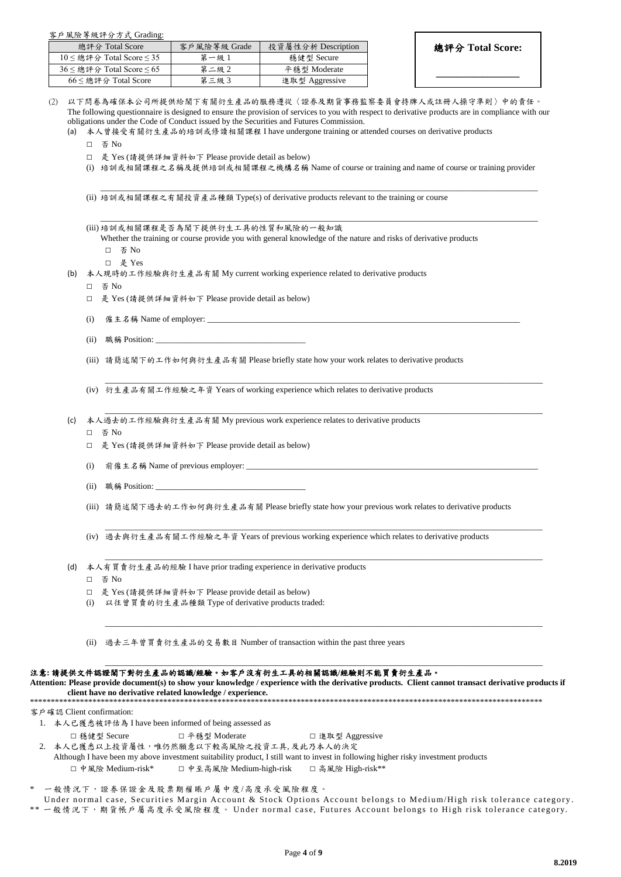客戶風險等級評分方式 Grading:

| 總評分 Total Score                     | 客戶風險等級 Grade | 投資屬性分析 Description |
|-------------------------------------|--------------|--------------------|
| $10 \leq$ 總評分 Total Score $\leq 35$ | 第一級1         | 穩健型 Secure         |
| $36 \leq$ 總評分 Total Score $\leq 65$ | 第二級2         | 平穩型 Moderate       |
| $66 \leq$ 總評分 Total Score           | 第三級3         | 進取型 Aggressive     |

總評分 **Total Score:**

**\_\_\_\_\_\_\_\_\_\_\_\_\_\_\_\_**

以下問卷為確保本公司所提供給閣下有關衍生產品的服務遵從〈證券及期貨事務監察委員會持牌人或註冊人操守準則〉中的責任。 The following questionnaire is designed to ensure the provision of services to you with respect to derivative products are in compliance with our obligations under the Code of Conduct issued by the Securities and Futures Commission.

(a) 本人曾接受有關衍生產品的培訓或修讀相關課程 I have undergone training or attended courses on derivative products

- □ 否 No
- □ 是 Yes (請提供詳細資料如下 Please provide detail as below)
- (i) 培訓或相關課程之名稱及提供培訓或相關課程之機構名稱 Name of course or training and name of course or training provider

\_\_\_\_\_\_\_\_\_\_\_\_\_\_\_\_\_\_\_\_\_\_\_\_\_\_\_\_\_\_\_\_\_\_\_\_\_\_\_\_\_\_\_\_\_\_\_\_\_\_\_\_\_\_\_\_\_\_\_\_\_\_\_\_\_\_\_\_\_\_\_\_\_\_\_\_\_\_\_\_\_\_\_\_\_\_\_\_\_\_\_\_\_\_\_\_\_\_\_\_\_\_\_\_\_

\_\_\_\_\_\_\_\_\_\_\_\_\_\_\_\_\_\_\_\_\_\_\_\_\_\_\_\_\_\_\_\_\_\_\_\_\_\_\_\_\_\_\_\_\_\_\_\_\_\_\_\_\_\_\_\_\_\_\_\_\_\_\_\_\_\_\_\_\_\_\_\_\_\_\_\_\_\_\_\_\_\_\_\_\_\_\_\_\_\_\_\_\_\_\_\_\_\_\_\_\_\_\_\_\_

\_\_\_\_\_\_\_\_\_\_\_\_\_\_\_\_\_\_\_\_\_\_\_\_\_\_\_\_\_\_\_\_\_\_\_\_\_\_\_\_\_\_\_\_\_\_\_\_\_\_\_\_\_\_\_\_\_\_\_\_\_\_\_\_\_\_\_\_\_\_\_\_\_\_\_\_\_\_\_\_\_\_\_\_\_\_\_\_\_\_\_\_\_\_\_\_\_\_\_\_\_\_\_\_\_

\_\_\_\_\_\_\_\_\_\_\_\_\_\_\_\_\_\_\_\_\_\_\_\_\_\_\_\_\_\_\_\_\_\_\_\_\_\_\_\_\_\_\_\_\_\_\_\_\_\_\_\_\_\_\_\_\_\_\_\_\_\_\_\_\_\_\_\_\_\_\_\_\_\_\_\_\_\_\_\_\_\_\_\_\_\_\_\_\_\_\_\_\_\_\_\_\_\_\_\_\_\_\_\_\_

\_\_\_\_\_\_\_\_\_\_\_\_\_\_\_\_\_\_\_\_\_\_\_\_\_\_\_\_\_\_\_\_\_\_\_\_\_\_\_\_\_\_\_\_\_\_\_\_\_\_\_\_\_\_\_\_\_\_\_\_\_\_\_\_\_\_\_\_\_\_\_\_\_\_\_\_\_\_\_\_\_\_\_\_\_\_\_\_\_\_\_\_\_\_\_\_\_\_\_\_\_\_\_\_\_

\_\_\_\_\_\_\_\_\_\_\_\_\_\_\_\_\_\_\_\_\_\_\_\_\_\_\_\_\_\_\_\_\_\_\_\_\_\_\_\_\_\_\_\_\_\_\_\_\_\_\_\_\_\_\_\_\_\_\_\_\_\_\_\_\_\_\_\_\_\_\_\_\_\_\_\_\_\_\_\_\_\_\_\_\_\_\_\_\_\_\_\_\_\_\_\_\_\_\_\_\_\_\_\_\_

\_\_\_\_\_\_\_\_\_\_\_\_\_\_\_\_\_\_\_\_\_\_\_\_\_\_\_\_\_\_\_\_\_\_\_\_\_\_\_\_\_\_\_\_\_\_\_\_\_\_\_\_\_\_\_\_\_\_\_\_\_\_\_\_\_\_\_\_\_\_\_\_\_\_\_\_\_\_\_\_\_\_\_\_\_\_\_\_\_\_\_\_\_\_\_\_\_\_\_\_\_\_\_\_\_

\_\_\_\_\_\_\_\_\_\_\_\_\_\_\_\_\_\_\_\_\_\_\_\_\_\_\_\_\_\_\_\_\_\_\_\_\_\_\_\_\_\_\_\_\_\_\_\_\_\_\_\_\_\_\_\_\_\_\_\_\_\_\_\_\_\_\_\_\_\_\_\_\_\_\_\_\_\_\_\_\_\_\_\_\_\_\_\_\_\_\_\_\_\_\_\_\_\_\_\_\_\_\_\_\_

(ii) 培訓或相關課程之有關投資產品種類 Type(s) of derivative products relevant to the training or course

| (iii) 培訓或相關課程是否為閣下提供衍生工具的性質和風險的一般知識                                                                              |  |
|------------------------------------------------------------------------------------------------------------------|--|
| Whether the training or course provide you with general knowledge of the nature and risks of derivative products |  |

- □ 否 No
- □ 是 Yes
- (b) 本人現時的工作經驗與衍生產品有關 My current working experience related to derivative products
	- □ 否 No
	- □ 是 Yes (請提供詳細資料如下 Please provide detail as below)
	- (i)  $\hat{\mathcal{E}} \neq \hat{\mathcal{Z}}$   $\hat{\mathcal{E}}$  Name of employer:
	- (ii) 職稱 Position:

(iii) 請簡述閣下的工作如何與衍生產品有關 Please briefly state how your work relates to derivative products

(iv) 衍生產品有關工作經驗之年資 Years of working experience which relates to derivative products

(c) 本人過去的工作經驗與衍生產品有關 My previous work experience relates to derivative products

- □ 否 No
- □ 是 Yes (請提供詳細資料如下 Please provide detail as below)
- (i) 前僱主名稱 Name of previous employer:
- (ii) 職稱 Position:
- (iii) 請簡述閣下過去的工作如何與衍生產品有關 Please briefly state how your previous work relates to derivative products

(iv) 過去與衍生產品有關工作經驗之年資 Years of previous working experience which relates to derivative products

- (d) 本人有買賣衍生產品的經驗 I have prior trading experience in derivative products
	- □ 否 No
	- □ 是 Yes (請提供詳細資料如下 Please provide detail as below)
	- (i) 以往曾買賣的衍生產品種類 Type of derivative products traded:

(ii) 過去三年曾買賣衍生產品的交易數目 Number of transaction within the past three years

#### 注意**:** 請提供文件認證閣下對衍生產品的認識**/**經驗。如客戶沒有衍生工具的相關認識**/**經驗則不能買賣衍生產品。

**Attention: Please provide document(s) to show your knowledge / experience with the derivative products. Client cannot transact derivative products if client have no derivative related knowledge / experience.** 

\*\*\*\*\*\*\*\*\*\*\*\*\*\*\*\*\*\*\*\*\*\*\*\*\*\*\*\*\*\*\*\*\*\*\*\*\*\*\*\*\*\*\*\*\*\*\*\*\*\*\*\*\*\*\*\*\*\*\*\*\*\*\*\*\*\*\*\*\*\*\*\*\*\*\*\*\*\*\*\*\*\*\*\*\*\*\*\*\*\*\*\*\*\*\*\*\*\*\*\*\*\*\*\*\*\*\*\*\*\*\*\*\*\*\*\*\*\*\*\*\*\*\*

- 客戶確認 Client confirmation:
	- 1. 本人已獲悉被評估為 I have been informed of being assessed as
		- □ 穩健型 Secure □ 平穩型 Moderate □ 進取型 Aggressive
	- 2. 本人已獲悉以上投資屬性,唯仍然願意以下較高風險之投資工具, 及此乃本人的決定
		- Although I have been my above investment suitability product, I still want to invest in following higher risky investment products □ 中風險 Medium-risk\* □ 中至高風險 Medium-high-risk □ 高風險 High-risk\*\*

一般情況下,證券保證金及股票期權賬戶屬中度/高度承受風險程度。

Under normal case, Securities Margin Account & Stock Options Account belongs to Medium/High risk tolerance category.

\*\* 一般情況下,期貨帳戶屬高度承受風險程度。 Under normal case, Futures Account belongs to High risk tolerance category.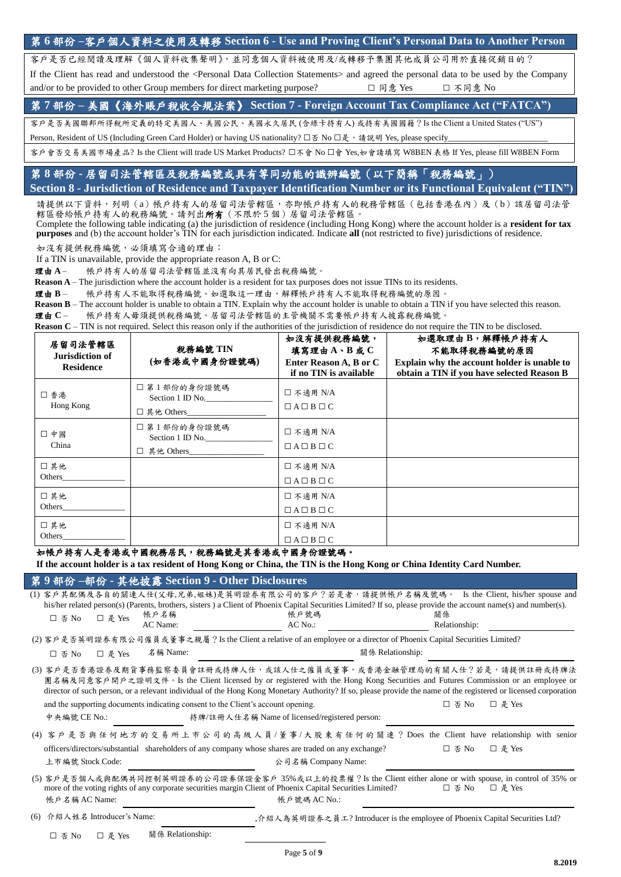|  |  |  |  |  |  | 第6部份-客户個人資料之使用及轉移 Section 6 - Use and Proving Client's Personal Data to Another Person |  |
|--|--|--|--|--|--|----------------------------------------------------------------------------------------|--|
|--|--|--|--|--|--|----------------------------------------------------------------------------------------|--|

客戶是否已經閱讀及理解《個人資料收集聲明》,並同意個人資料被使用及/或轉移予集團其他成員公司用於直接促銷目的?

If the Client has read and understood the <Personal Data Collection Statements> and agreed the personal data to be used by the Company and/or to be provided to other Group members for direct marketing purpose? □ 同意 Yes □ 不同意 No

第 **7** 部份 **–** 美國《海外賬戶稅收合規法案》 **Section 7 - Foreign Account Tax Compliance Act ("FATCA")**

客戶是否美國聯邦所得稅所定義的特定美國人、美國公民、美國永久居民 (含綠卡持有人) 或持有美國國籍?Is the Client a United States ("US")

Person, Resident of US (Including Green Card Holder) or having US nationality? □否 No □是, 請說明 Yes, please specify

客戶會否交易美國市場產品? Is the Client will trade US Market Products? □不會 No □<sup>會</sup> Yes,如會請填寫 W8BEN 表格 If Yes, please fill W8BEN Form

# 第 **8** 部份 **-** 居留司法管轄區及稅務編號或具有等同功能的識辨編號(以下簡稱「稅務編號」) **Section 8 - Jurisdiction of Residence and Taxpayer Identification Number or its Functional Equivalent ("TIN")**

請提供以下資料,列明(a)帳戶持有人的居留司法管轄區,亦即帳戶持有人的稅務管轄區(包括香港在內)及(b)該居留司法管 轄區發給帳戶持有人的稅務編號。請列出所有(不限於 5 個)居留司法管轄區。

Complete the following table indicating (a) the jurisdiction of residence (including Hong Kong) where the account holder is a **resident for tax purposes** and (b) the account holder's TIN for each jurisdiction indicated. Indicate **all** (not restricted to five) jurisdictions of residence.

如沒有提供稅務編號,必須填寫合適的理由:

If a TIN is unavailable, provide the appropriate reason A, B or C:

理由 **A** – 帳戶持有人的居留司法管轄區並沒有向其居民發出稅務編號。

**Reason A** – The jurisdiction where the account holder is a resident for tax purposes does not issue TINs to its residents.

理由 **B** – 帳戶持有人不能取得稅務編號。如選取這一理由,解釋帳戶持有人不能取得稅務編號的原因。

**Reason B** – The account holder is unable to obtain a TIN. Explain why the account holder is unable to obtain a TIN if you have selected this reason.

理由 **C** – 帳戶持有人毋須提供稅務編號。居留司法管轄區的主管機關不需要帳戶持有人披露稅務編號。

| 居留司法管轄區<br>Jurisdiction of<br><b>Residence</b> | 税務編號 TIN<br>(如香港或中國身份證號碼)                       | 如沒有提供稅務編號,<br>填寫理由A、B或C<br>Enter Reason A, B or C<br>if no TIN is available | 如選取理由B,解釋帳戶持有人<br>不能取得稅務編號的原因<br>Explain why the account holder is unable to<br>obtain a TIN if you have selected Reason B |
|------------------------------------------------|-------------------------------------------------|-----------------------------------------------------------------------------|----------------------------------------------------------------------------------------------------------------------------|
| □ 香港<br>Hong Kong                              | □ 第1部份的身份證號碼<br>Section 1 ID No.<br>□ 其他 Others | □ 不適用 N/A<br>$\Box A \Box B \Box C$                                         |                                                                                                                            |
| □ 中國<br>China                                  | □ 第1部份的身份證號碼<br>Section 1 ID No.<br>□ 其他 Others | □ 不適用 N/A<br>$\Box A \Box B \Box C$                                         |                                                                                                                            |
| □其他<br>Others                                  |                                                 | □ 不適用 N/A<br>$\Box A \Box B \Box C$                                         |                                                                                                                            |
| □其他<br>Others                                  |                                                 | □ 不適用 N/A<br>$\Box A \Box B \Box C$                                         |                                                                                                                            |
| □其他<br>Others                                  |                                                 | □ 不適用 N/A<br>$\Box A \Box B \Box C$                                         |                                                                                                                            |

### 如帳戶持有人是香港或中國稅務居民,稅務編號是其香港或中國身份證號碼。

**If the account holder is a tax resident of Hong Kong or China, the TIN is the Hong Kong or China Identity Card Number.**

## 第 **9** 部份 **–**部份 **-** 其他披露 **Section 9 - Other Disclosures**

|                                 |                                                                                  | (1) 客戶其配偶及各自的關連人仕(父母,兄弟,姐妹)是英明證券有限公司的客戶?若是者,請提供帳戶名稱及號碼。 Is the Client, his/her spouse and                                                                                                                                                                                                                                                                                |                             |                      |
|---------------------------------|----------------------------------------------------------------------------------|--------------------------------------------------------------------------------------------------------------------------------------------------------------------------------------------------------------------------------------------------------------------------------------------------------------------------------------------------------------------------|-----------------------------|----------------------|
|                                 | 帳戶名稱                                                                             | his/her related person(s) (Parents, brothers, sisters) a Client of Phoenix Capital Securities Limited? If so, please provide the account name(s) and number(s).<br>帳戶號碼                                                                                                                                                                                                  | 關係                          |                      |
| □ 是 Yes<br>□ 否 No               | AC Name:                                                                         | $AC$ No.:                                                                                                                                                                                                                                                                                                                                                                | Relationship:               |                      |
|                                 |                                                                                  | (2) 客戶是否英明證券有限公司僱員或董事之親屬? Is the Client a relative of an employee or a director of Phoenix Capital Securities Limited?                                                                                                                                                                                                                                                   |                             |                      |
| □ 是 Yes<br>□ 否 No               | 名稱 Name:                                                                         |                                                                                                                                                                                                                                                                                                                                                                          | 關係 Relationship:            |                      |
|                                 |                                                                                  | (3) 客戶是否香港證券及期貨事務監察委員會註冊或持牌人仕,或該人仕之僱員或董事,或香港金融管理局的有關人仕?若是,請提供註冊或持牌法<br>團名稱及同意客戶開戶之證明文件。Is the Client licensed by or registered with the Hong Kong Securities and Futures Commission or an employee or<br>director of such person, or a relevant individual of the Hong Kong Monetary Authority? If so, please provide the name of the registered or licensed corporation |                             |                      |
|                                 | and the supporting documents indicating consent to the Client's account opening. |                                                                                                                                                                                                                                                                                                                                                                          | 口 否 No                      | □ 是 Yes              |
| 中央編號 CE No.:                    |                                                                                  | 持牌/註冊人仕名稱 Name of licensed/registered person:                                                                                                                                                                                                                                                                                                                            |                             |                      |
|                                 |                                                                                  | (4) 客戶是否與任何地方的交易所上市公司的高級人員/董事/大股東有任何的關連? Does the Client have relationship with senior                                                                                                                                                                                                                                                                                   |                             |                      |
| 上市編號 Stock Code:                |                                                                                  | officers/directors/substantial shareholders of any company whose shares are traded on any exchange?<br>公司名稱 Company Name:                                                                                                                                                                                                                                                | $\square$ $\overline{4}$ No | □ 是 Yes              |
| 帳戶名稱 AC Name:                   |                                                                                  | (5) 客戶是否個人或與配偶共同控制英明證券的公司證券保證金客戶 35%或以上的投票權? Is the Client either alone or with spouse, in control of 35% or<br>more of the voting rights of any corporate securities margin Client of Phoenix Capital Securities Limited?<br>帳戶號碼 AC No.:                                                                                                                               | 口 否 $No$                    | $\Box \# \text{Yes}$ |
| 介紹人姓名 Introducer's Name:<br>(6) |                                                                                  | , 介紹人為英明證券之員工? Introducer is the employee of Phoenix Capital Securities Ltd?                                                                                                                                                                                                                                                                                             |                             |                      |
| □ 是 Yes<br>□ 否 No               | 關係 Relationship:                                                                 |                                                                                                                                                                                                                                                                                                                                                                          |                             |                      |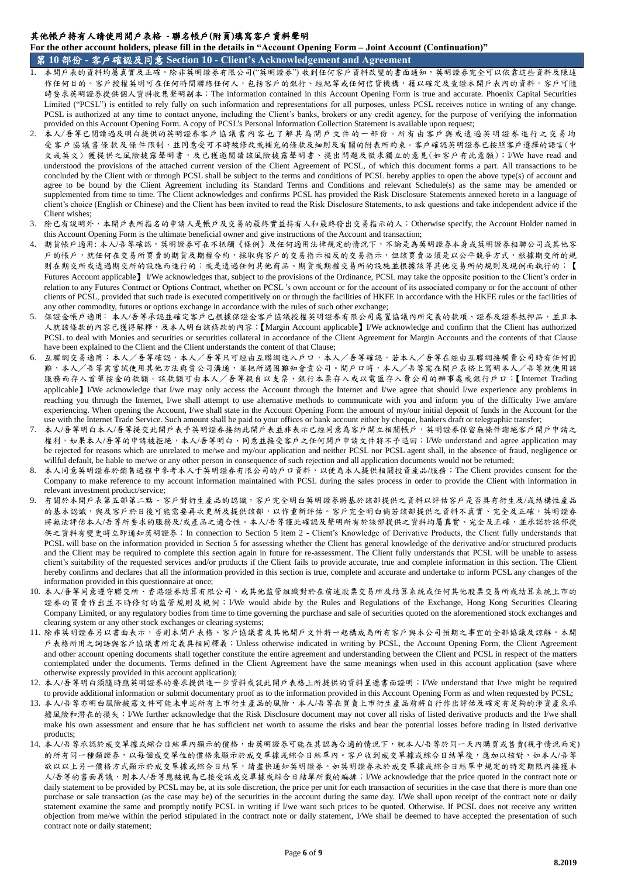## 其他帳戶持有人請使用開戶表格 **-** 聯名帳戶**(**附頁**)**填寫客戶資料聲明

**For the other account holders, please fill in the details in "Account Opening Form – Joint Account (Continuation)"**

第 **10** 部份 **-** 客戶確認及同意 **Section 10 - Client's Acknowledgement and Agreement**

- 本開戶表的資料均屬真實及正確。除非英明證券有限公司("英明證券") 收到任何客戶資料改變的書面通知,英明證券完全可以依靠這些資料及陳述 作任何目的。客戶授權英明可在任何時間聯絡任何人,包括客戶的銀行、經紀等或任何信貸機構,籍以確定及查證本開戶表內的資料。客戶可隨 時要求英明證券提供個人資料收集聲明副本;The information contained in this Account Opening Form is true and accurate. Phoenix Capital Securities Limited ("PCSL") is entitled to rely fully on such information and representations for all purposes, unless PCSL receives notice in writing of any change. PCSL is authorized at any time to contact anyone, including the Client's banks, brokers or any credit agency, for the purpose of verifying the information provided on this Account Opening Form. A copy of PCSL's Personal Information Collection Statement is available upon request;
- 2. 本人/吾等已閱讀過及明白提供的英明證券客戶協議書內容也了解其為開戶文件的一部份。所有由客戶與或透過英明證券進行之交易均 受客戶協議書條款及條件限制,並同意受可不時被修改或補充的條款及細則及有關的附表所約束。客戶確認英明證券已按照客戶選擇的語言(中 文或英文) 獲提供之風險披露聲明書,及已獲邀閱讀該風險披露聲明書、提出問題及徵求獨立的意見(如客戶有此意願);I/We have read and understood the provisions of the attached current version of the Client Agreement of PCSL, of which this document forms a part. All transactions to be concluded by the Client with or through PCSL shall be subject to the terms and conditions of PCSL hereby applies to open the above type(s) of account and agree to be bound by the Client Agreement including its Standard Terms and Conditions and relevant Schedule(s) as the same may be amended or supplemented from time to time. The Client acknowledges and confirms PCSL has provided the Risk Disclosure Statements annexed hereto in a language of client's choice (English or Chinese) and the Client has been invited to read the Risk Disclosure Statements, to ask questions and take independent advice if the Client wishes;
- 3. 除已有說明外,本開戶表所指名的申請人是帳戶及交易的最終實益持有人和最終發出交易指示的人;Otherwise specify, the Account Holder named in this Account Opening Form is the ultimate beneficial owner and give instructions of the Account and transaction;
- 期貨帳戶適用: 本人/吾等確認,英明證券可在不抵觸《條例》及任何適用法律規定的情況下,不論是為英明證券本身或英明證券相聯公司或其他客 戶的帳戶,就任何在交易所買賣的期貨及期權合約,採取與客戶的交易指示相反的交易指示,但該買賣必須是以公平競爭方式,根據期交所的規 則在期交所或透過期交所的設施而進行的;或是透過任何其他商品、期貨或期權交易所的設施並根據該等其他交易所的規則及現例而執行的;【 Futures Account applicable】 I/We acknowledges that, subject to the provisions of the Ordinance, PCSL may take the opposite position to the Client's order in relation to any Futures Contract or Options Contract, whether on PCSL 's own account or for the account of its associated company or for the account of other clients of PCSL, provided that such trade is executed competitively on or through the facilities of HKFE in accordance with the HKFE rules or the facilities of any other commodity, futures or options exchange in accordance with the rules of such other exchange;
- 5. 保證金帳戶適用:本人/吾等承認並確定客戶已根據保證金客戶協議授權英明證券有限公司處置協議內所定義的款項、證券及證券抵押品,並且本 人就該條款的內容已獲得解釋,及本人明白該條款的內容;【Margin Account applicable】I/We acknowledge and confirm that the Client has authorized PCSL to deal with Monies and securities or securities collateral in accordance of the Client Agreement for Margin Accounts and the contents of that Clause have been explained to the Client and the Client understands the content of that Clause;
- 6. 互聯網交易適用:本人/吾等確認,本人/吾等只可經由互聯網進入戶口,本人/吾等確認,若本人/吾等在經由互聯網接觸貴公司時有任何困 難,本人/吾等需嘗試使用其他方法與貴公司溝通,並把所遇困難知會貴公司。開戶口時,本人/吾等需在開戶表格上寫明本人/吾等就使用該 服務而存入首筆按金的款額。該款額可由本人/吾等親自以支票、銀行本票存入或以電匯存入貴公司的辦事處或銀行戶口;【Internet Trading applicable】I/We acknowledge that I/we may only access the Account through the Internet and I/we agree that should I/we experience any problems in reaching you through the Internet, I/we shall attempt to use alternative methods to communicate with you and inform you of the difficulty I/we am/are experiencing. When opening the Account, I/we shall state in the Account Opening Form the amount of my/our initial deposit of funds in the Account for the use with the Internet Trade Service. Such amount shall be paid to your offices or bank account either by cheque, bankers draft or telegraphic transfer;
- 7. 本人/吾等明白本人/吾等提交此開戶表予英明證券接納此開戶表並非表示已經同意為客戶開立相關帳戶,英明證券保留無條件謝絕客戶開戶申請之 權利,如果本人/吾等的申請被拒絕,本人/吾等明白、同意並接受客戶之任何開戶申請文件將不予退回;I/We understand and agree application may be rejected for reasons which are unrelated to me/we and my/our application and neither PCSL nor PCSL agent shall, in the absence of fraud, negligence or willful default, be liable to me/we or any other person in consequence of such rejection and all application documents would not be returned;
- 本人同意英明證券於銷售過程中參考本人于英明證券有限公司的戶口資料,以便為本人提供相關投資產品/服務;The Client provides consent for the Company to make reference to my account information maintained with PCSL during the sales process in order to provide the Client with information in relevant investment product/service;
- 有關於本開戶表第五部第二部。- 客戶對衍生產品的認識,客戶完全明白英明證券將基於該部提供之資料以評估客戶是否具有衍生及/或結構性產品 的基本認識,與及客戶於日後可能需要再次更新及提供該部,以作重新評估。客戶完全明白倘若該部提供之資料不真實、完全及正確,英明證券 將無法評估本人/吾等所要求的服務及/或產品之適合性。本人/吾等謹此確認及聲明所有於該部提供之資料均屬真實、完全及正確,並承諾於該部提 供之資料有變更時立即通知英明證券;In connection to Section 5 item 2 - Client's Knowledge of Derivative Products, the Client fully understands that PCSL will base on the information provided in Section 5 for assessing whether the Client has general knowledge of the derivative and/or structured products and the Client may be required to complete this section again in future for re-assessment. The Client fully understands that PCSL will be unable to assess client's suitability of the requested services and/or products if the Client fails to provide accurate, true and complete information in this section. The Client hereby confirms and declares that all the information provided in this section is true, complete and accurate and undertake to inform PCSL any changes of the information provided in this questionnaire at once;
- 10. 本人/吾等同意遵守聯交所、香港證券結算有限公司、或其他監管組織對於在前述股票交易所及結算系統或任何其他股票交易所或結算系統上市的 證券的買賣作出並不時修訂的監管規則及規例;I/We would abide by the Rules and Regulations of the Exchange, Hong Kong Securities Clearing Company Limited, or any regulatory bodies from time to time governing the purchase and sale of securities quoted on the aforementioned stock exchanges and clearing system or any other stock exchanges or clearing systems;
- 11. 除非英明證券另以書面表示,否則本開戶表格、客戶協議書及其他開戶文件將一起構成為所有客戶與本公司預期之事宜的全部協議及諒解。本開 戶表格所用之詞語與客戶協議書所定義具相同釋義;Unless otherwise indicated in writing by PCSL, the Account Opening Form, the Client Agreement and other account opening documents shall together constitute the entire agreement and understanding between the Client and PCSL in respect of the matters contemplated under the documents. Terms defined in the Client Agreement have the same meanings when used in this account application (save where otherwise expressly provided in this account application);
- 12. 本人/吾等明白須隨時應英明證券的要求提供進一步資料或就此開戶表格上所提供的資料呈遞書面證明;I/We understand that I/we might be required to provide additional information or submit documentary proof as to the information provided in this Account Opening Form as and when requested by PCSL;
- 13. 本人/吾等亦明白風險披露文件可能未申述所有上市衍生產品的風險,本人/吾等在買賣上市衍生產品前將自行作出評估及確定有足夠的淨資產來承 擔風險和潛在的損失;I/We further acknowledge that the Risk Disclosure document may not cover all risks of listed derivative products and the I/we shall make his own assessment and ensure that he has sufficient net worth to assume the risks and bear the potential losses before trading in listed derivative products;
- 14. 本人/吾等承認於成交單據或綜合日結單內顯示的價格,由英明證券可能在其認為合適的情況下,就本人/吾等於同一天內購買或售賣(視乎情況而定) 的所有同一種類證券,以每個成交單位的價格來顯示於成交單據或綜合日結單內。客戶收到成交單據或綜合日結單後,應加以核對,如本人/吾等 欲以以上另一價格方式顯示於成交單據或綜合日結單,請盡快通知英明證券。如英明證券未於成交單據或綜合日結單中規定的特定期限內接獲本 人/吾等的書面異議,則本人/吾等應被視為已接受該成交單據或綜合日結單所載的編排;I/We acknowledge that the price quoted in the contract note or daily statement to be provided by PCSL may be, at its sole discretion, the price per unit for each transaction of securities in the case that there is more than one purchase or sale transaction (as the case may be) of the securities in the account during the same day. I/We shall upon receipt of the contract note or daily statement examine the same and promptly notify PCSL in writing if I/we want such prices to be quoted. Otherwise. If PCSL does not receive any written objection from me/we within the period stipulated in the contract note or daily statement, I/We shall be deemed to have accepted the presentation of such contract note or daily statement;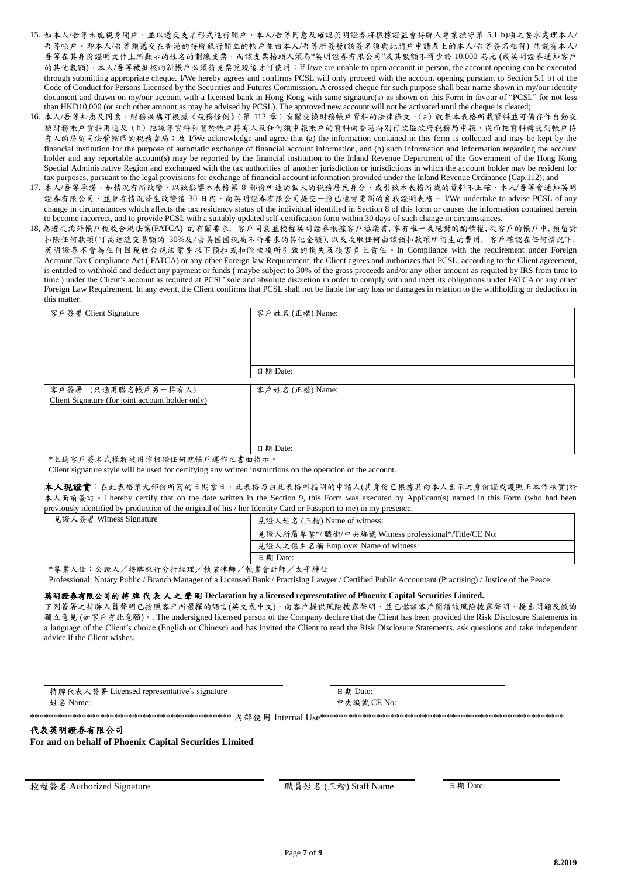- 15. 如本人/吾等未能親身開戶,並以遞交支票形式進行開戶,本人/吾等同意及確認英明證券將根據證監會持牌人專業操守第 5.1 b)項之要求處理本人/ 吾等帳戶。即本人/吾等須遞交在香港的持牌銀行開立的帳戶並由本人/吾等所簽發(該簽名須與此開戶申請表上的本人/吾等簽名相符) 並載有本人/ 吾等在其身份證明文件上所顯示的姓名的劃線支票,而該支票抬頭人須為"英明證券有限公司"及其數額不得少於 10,000 港元 (或英明證券通知客戶 的其他數額)。本人/吾等被批核的新帳戶必須待支票兒現後才可使用; If I/we are unable to open account in person, the account opening can be executed through submitting appropriate cheque. I/We hereby agrees and confirms PCSL will only proceed with the account opening pursuant to Section 5.1 b) of the Code of Conduct for Persons Licensed by the Securities and Futures Commission. A crossed cheque for such purpose shall bear name shown in my/our identity document and drawn on my/our account with a licensed bank in Hong Kong with same signature(s) as shown on this Form in favour of "PCSL" for not less than HKD10,000 (or such other amount as may be advised by PCSL). The approved new account will not be activated until the cheque is cleared;
- 16. 本人/吾等知悉及同意,財務機構可根據《稅務條例》(第 112 章)有關交換財務帳戶資料的法律條文,(a)收集本表格所載資料並可備存作自動交 換財務帳戶資料用途及(b)把該等資料和關於帳戶持有人及任何須申報帳戶的資料向香港特別行政區政府稅務局申報,從而把資料轉交到帳戶持 有人的居留司法管轄區的稅務當局;及 I/We acknowledge and agree that (a) the information contained in this form is collected and may be kept by the financial institution for the purpose of automatic exchange of financial account information, and (b) such information and information regarding the account holder and any reportable account(s) may be reported by the financial institution to the Inland Revenue Department of the Government of the Hong Kong Special Administrative Region and exchanged with the tax authorities of another jurisdiction or jurisdictions in which the account holder may be resident for tax purposes, pursuant to the legal provisions for exchange of financial account information provided under the Inland Revenue Ordinance (Cap.112); and
- 17. 本人/吾等承諾,如情況有所改變,以致影響本表格第 8 部份所述的個人的稅務居民身分,或引致本表格所載的資料不正確,本人/吾等會通知英明 證券有限公司,並會在情況發生改變後 30 日內,向英明證券有限公司提交一份已適當更新的自我證明表格。 I/We undertake to advise PCSL of any change in circumstances which affects the tax residency status of the individual identified in Section 8 of this form or causes the information contained herein to become incorrect, and to provide PCSL with a suitably updated self-certification form within 30 days of such change in circumstances.
- 18.為遵從海外帳戶稅收合規法案(FATCA) 的有關要求, 客戶同意並授權英明證券根據客戶栛議書,享有唯一及絕對的酌情權,從客戶的帳戶中,預留對 扣除任何款項(可高達總交易額的 30%及/由美國國稅局不時要求的其他金額),以及收取任何由該預扣款項所衍生的費用. 客戶確認在任何情況下, 英明證券不會為任何因稅收合規法案要求下預扣或扣除款項所引致的損失及損害負上責任。In Compliance with the requirement under Foreign Account Tax Compliance Act ( FATCA) or any other Foreign law Requirement, the Client agrees and authorizes that PCSL, according to the Client agreement, is entitled to withhold and deduct any payment or funds ( maybe subject to 30% of the gross proceeds and/or any other amount as requited by IRS from time to time.) under the Client's account as requited at PCSL' sole and absolute discretion in order to comply with and meet its obligations under FATCA or any other Foreign Law Requirement. In any event, the Client confirms that PCSL shall not be liable for any loss or damages in relation to the withholding or deduction in this matter.

| 客戶簽署 Client Signature                                                   | 客戶姓名 (正楷) Name: |
|-------------------------------------------------------------------------|-----------------|
|                                                                         | 日期 Date:        |
| 客戶簽署 (只適用聯名帳戶另一持有人)<br>Client Signature (for joint account holder only) | 客戶姓名 (正楷) Name: |
| * L 津 空 台 笑 カ キ 详 助 补 田 佐 抚 擦 厅 行 排 框 台 深 佐 × 妻 工 北 二 。                 | 日期 Date:        |

上述客戶簽名式樣將被用作核證任何就帳戶運作之書面指示。

Client signature style will be used for certifying any written instructions on the operation of the account.

本人現證實:在此表格第九部份所寫的日期當日,比表格乃由此表格所指明的申請人(其身份已根據其向本人出示之身份證或護照正本作核實)於 本人面前答訂。I hereby certify that on the date written in the Section 9, this Form was executed by Applicant(s) named in this Form (who had been previously identified by production of the original of his / her Identity Card or Passport to me) in my presence.

| 見證人簽署 Witness Signature                                                                                                            | 見證人姓名 (正楷) Name of witness:                         |
|------------------------------------------------------------------------------------------------------------------------------------|-----------------------------------------------------|
|                                                                                                                                    | 見證人所屬專業*/職銜/中央編號 Witness professional*/Title/CE No: |
|                                                                                                                                    | 見證人之僱主名稱 Employer Name of witness:                  |
|                                                                                                                                    | 日期 Date:                                            |
| $x + y$ above $y + y + z = 1$ . The state of $y + z = 1$ and $y + z = 1$ above $y + z = 1$ and $y + z = 1$ and $z = 1$ and $z = 1$ |                                                     |

\*專業人仕:公證人/持牌銀行分行經理/執業律師/執業會計師/太平紳仕

Professional: Notary Public / Branch Manager of a Licensed Bank / Practising Lawyer / Certified Public Accountant (Practising) / Justice of the Peace

#### 英明證券有限公司的 持 牌 代 表 人 之 聲 明 **Declaration by a licensed representative of Phoenix Capital Securities Limited.**

下列簽署之持牌人員聲明已按照客户所選擇的語言(英文或中文),向客戶提供風險披露聲明,並已邀請客戶閱讀該風險披露聲明,提出問題及徵詢 獨立意見 (如客戶有此意願)。. The undersigned licensed person of the Company declare that the Client has been provided the Risk Disclosure Statements in a language of the Client's choice (English or Chinese) and has invited the Client to read the Risk Disclosure Statements, ask questions and take independent advice if the Client wishes.

持牌代表人簽署 Licensed representative's signature <br>
日期 Date: 姓名 Name: 中央編號 CE No:

\*\*\*\*\*\*\*\*\*\*\*\*\*\*\*\*\*\*\*\*\*\*\*\*\*\*\*\*\*\*\*\*\*\*\*\*\*\*\*\*\*\*\* 內部使用 Internal Use\*\*\*\*\*\*\*\*\*\*\*\*\*\*\*\*\*\*\*\*\*\*\*\*\*\*\*\*\*\*\*\*\*\*\*\*\*\*\*\*\*\*\*\*\*\*\*\*\*\*\*\*

#### 代表英明證券有限公司

**For and on behalf of Phoenix Capital Securities Limited**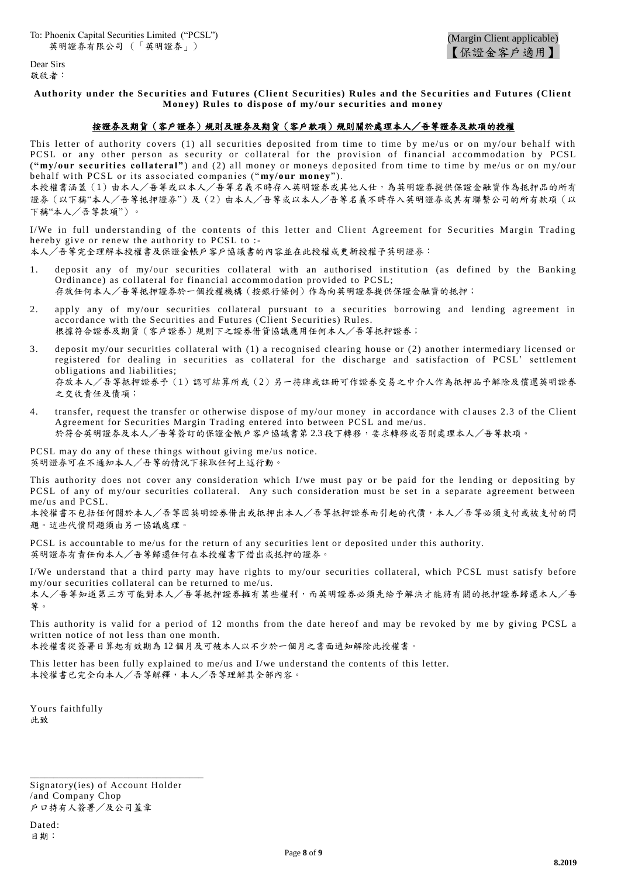Dear Sirs 敬啟者:

### **Authority under the Securities and Futures (Client Securities) Rules and the Securities and Futures (Client Money) Rules to dispose of my/our securities and money**

## 按證券及期貨(客戶證券)規則及證券及期貨(客戶款項)規則關於處理本人/吾等證券及款項的授權

This letter of authority covers (1) all securities deposited from time to time by me/us or on my/our behalf with PCSL or any other person as security or collateral for the provision of financial accommodation by PCSL ("my/our securities collateral") and (2) all money or moneys deposited from time to time by me/us or on my/our behalf with PCSL or its associated companies ("my/our money").

本授權書涵蓋(1)由本人/吾等或以本人/吾等名義不時存入英明證券或其他人仕,為英明證券提供保證金融資作為抵押品的所有 證券(以下稱"本人/吾等抵押證券")及(2)由本人/吾等或以本人/吾等名義不時存入英明證券或其有聯繫公司的所有款項(以 下稱"本人/吾等款項")。

I/We in full understanding of the contents of this letter and Client Agreement for Securities Margin Trading hereby give or renew the authority to PCSL to :-

本人/吾等完全理解本授權書及保證金帳戶客戶協議書的內容並在此授權或更新授權予英明證券:

- 1. deposit any of my/our securities collateral with an authorised institution (as defined by the Banking Ordinance) as collateral for financial accommodation provided to PCSL; 存放任何本人/吾等抵押證券於一個授權機構(按銀行條例)作為向英明證券提供保證金融資的抵押;
- 2. apply any of my/our securities collateral pursuant to a securities borrowing and lending agreement in accordance with the Securities and Futures (Client Securities) Rules. 根據符合證券及期貨(客戶證券)規則下之證券借貸協議應用任何本人/吾等抵押證券;
- 3. deposit my/our securities collateral with (1) a recognised clearing house or (2) another intermediary licensed or registered for dealing in securities as collateral for the discharge and satisfaction of PCSL' settlement obligations and liabilities; 存放本人/吾等抵押證券予(1)認可結算所或(2)另一持牌或註冊可作證券交易之中介人作為抵押品予解除及償還英明證券 之交收責任及債項;
- 4. transfer, request the transfer or otherwise dispose of my/our money in accordance with clauses 2.3 of the Client Agreement for Securities Margin Trading entered into between PCSL and me/us. 於符合英明證券及本人/吾等簽訂的保證金帳戶客戶協議書第 2.3 段下轉移,要求轉移或否則處理本人/吾等款項。

PCSL may do any of these things without giving me/us notice. 英明證券可在不通知本人/吾等的情況下採取任何上述行動。

This authority does not cover any consideration which I/we must pay or be paid for the lending or depositing by PCSL of any of my/our securities collateral. Any such consideration must be set in a separate agreement between me/us and PCSL.

本授權書不包括任何關於本人/吾等因英明證券借出或抵押出本人/吾等抵押證券而引起的代價,本人/吾等必須支付或被支付的問 題。這些代價問題須由另一協議處理。

PCSL is accountable to me/us for the return of any securities lent or deposited under this authority. 英明證券有責任向本人/吾等歸還任何在本授權書下借出或抵押的證券。

I/We understand that a third party may have rights to my/our securities collateral, which PCSL must satisfy before my/our securities collateral can be returned to me/us. 本人/吾等知道第三方可能對本人/吾等抵押證券擁有某些權利,而英明證券必須先給予解決才能將有關的抵押證券歸還本人/吾 等。

This authority is valid for a period of 12 months from the date hereof and may be revoked by me by giving PCSL a written notice of not less than one month.

本授權書從簽署日算起有效期為 12 個月及可被本人以不少於一個月之書面通知解除此授權書。

This letter has been fully explained to me/us and I/we understand the contents of this letter. 本授權書已完全向本人/吾等解釋,本人/吾等理解其全部內容。

Yours faithfully 此致

Signatory(ies) of Account Holder /and Company Chop 戶口持有人簽署/及公司蓋章

\_\_\_\_\_\_\_\_\_\_\_\_\_\_\_\_\_\_\_\_\_\_\_\_\_\_\_\_\_\_\_\_\_\_\_\_\_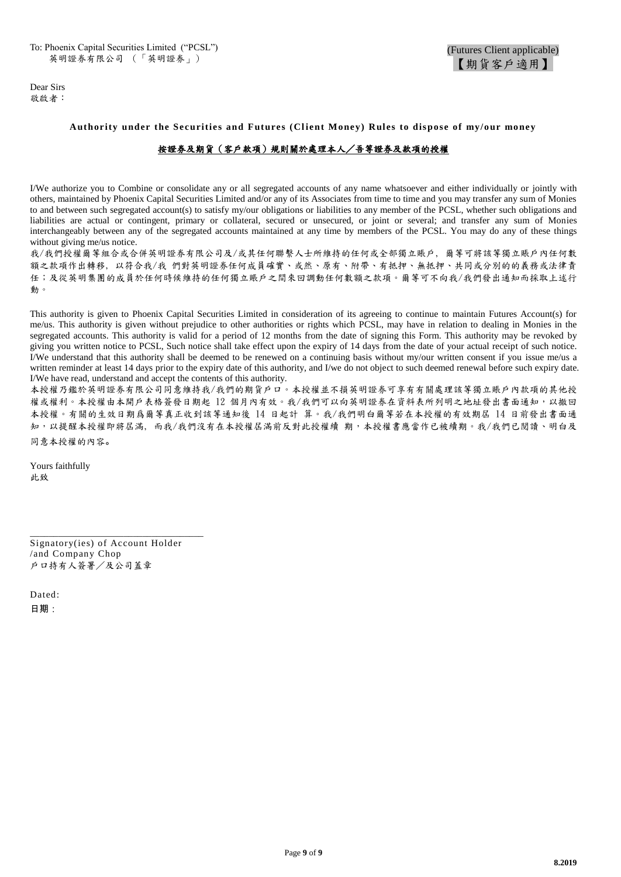Dear Sirs 敬啟者:

#### **Authority under the Securities and Futures (Cl ient Money) Rules to dispose of my/our money**

## 按證券及期貨(客戶款項)規則關於處理本人/吾等證券及款項的授權

I/We authorize you to Combine or consolidate any or all segregated accounts of any name whatsoever and either individually or jointly with others, maintained by Phoenix Capital Securities Limited and/or any of its Associates from time to time and you may transfer any sum of Monies to and between such segregated account(s) to satisfy my/our obligations or liabilities to any member of the PCSL, whether such obligations and liabilities are actual or contingent, primary or collateral, secured or unsecured, or joint or several; and transfer any sum of Monies interchangeably between any of the segregated accounts maintained at any time by members of the PCSL. You may do any of these things without giving me/us notice.

我/我們授權爾等組合或合併英明證券有限公司及/或其任何聯繫人士所維持的任何或全部獨立賬戶, 爾等可將該等獨立賬戶內任何數 額之款項作出轉移, 以符合我/我 們對英明證券任何成員確實、或然、原有、附帶、有抵押、無抵押、共同或分別的的義務或法律責 任;及從英明集團的成員於任何時候維持的任何獨立賬戶之間來回調動任何數額之款項。爾等可不向我/我們發出通知而採取上述行 動。

This authority is given to Phoenix Capital Securities Limited in consideration of its agreeing to continue to maintain Futures Account(s) for me/us. This authority is given without prejudice to other authorities or rights which PCSL, may have in relation to dealing in Monies in the segregated accounts. This authority is valid for a period of 12 months from the date of signing this Form. This authority may be revoked by giving you written notice to PCSL, Such notice shall take effect upon the expiry of 14 days from the date of your actual receipt of such notice. I/We understand that this authority shall be deemed to be renewed on a continuing basis without my/our written consent if you issue me/us a written reminder at least 14 days prior to the expiry date of this authority, and I/we do not object to such deemed renewal before such expiry date. I/We have read, understand and accept the contents of this authority.

本授權乃鑑於英明證券有限公司同意維持我/我們的期貨戶口。本授權並不損英明證券可享有有關處理該等獨立賬戶內款項的其他授 權或權利。本授權由本開戶表格簽發日期起 12 個月內有效。我/我們可以向英明證券在資料表所列明之地址發出書面通知,以撤回 本授權。有關的生效日期爲爾等真正收到該等通知後 14 日起計 算。我/我們明白爾等若在本授權的有效期屆 14 日前發出書面通 知,以提醒本授權即將屆滿, 而我/我們沒有在本授權屆滿前反對此授權續 期,本授權書應當作已被續期。我/我們已閱讀、明白及 同意本授權的內容。

Yours faithfully 此致

Signatory(ies) of Account Holder /and Company Chop 戶口持有人簽署/及公司蓋章

\_\_\_\_\_\_\_\_\_\_\_\_\_\_\_\_\_\_\_\_\_\_\_\_\_\_\_\_\_\_\_\_\_\_\_\_\_

Dated: 日期: